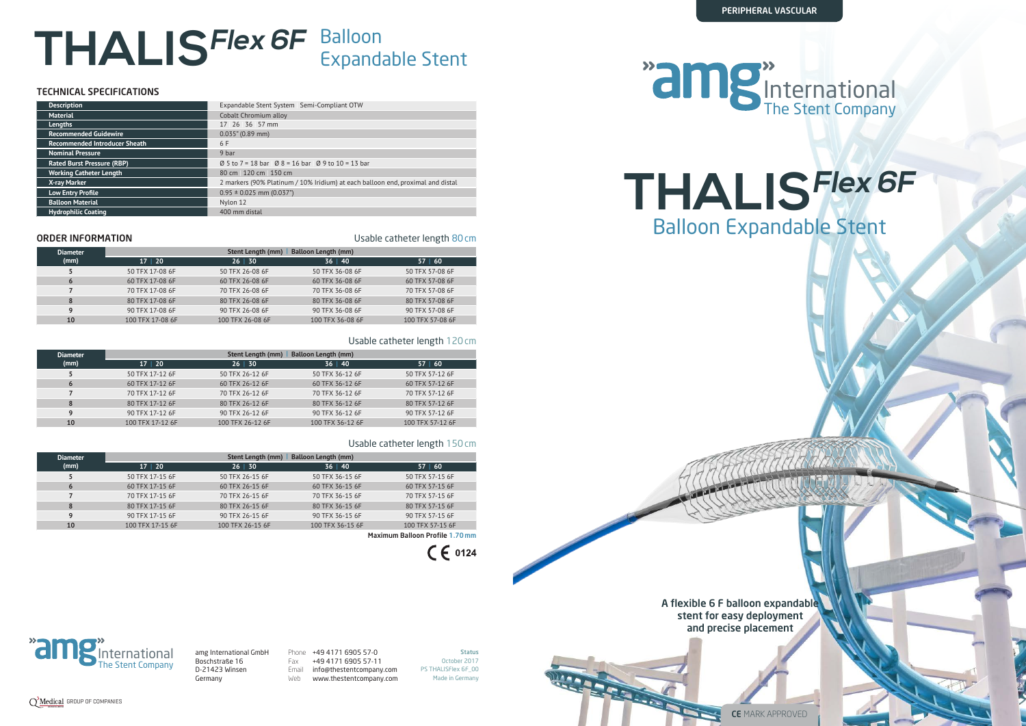

**Status** October 2017 PS THALISFlex 6F\_00 Made in Germany

The Stent Company International amg International GmbH Boschstraße 16 D-21423 Winsen Germany

Phone +49 4171 6905 57-0 Fax +49 4171 6905 57-11 Email info@thestentcompany.com Web www.thestentcompany.com

## The Stent Company International



CE MARK APPROVED

A flexible 6 F balloon expandable stent for easy deployment and precise placement





# **THALISFlex 6F** Balloon Expandable Stent

| <b>Description</b>                   | Expandable Stent System   Semi-Compliant OTW                                          |  |  |
|--------------------------------------|---------------------------------------------------------------------------------------|--|--|
| <b>Material</b>                      | Cobalt Chromium alloy                                                                 |  |  |
| Lengths                              | 17 26 36 57 mm                                                                        |  |  |
| <b>Recommended Guidewire</b>         | $0.035$ " (0.89 mm)                                                                   |  |  |
| <b>Recommended Introducer Sheath</b> | 6 F                                                                                   |  |  |
| <b>Nominal Pressure</b>              | 9 bar                                                                                 |  |  |
| <b>Rated Burst Pressure (RBP)</b>    | $\varnothing$ 5 to 7 = 18 bar $\varnothing$ 8 = 16 bar $\varnothing$ 9 to 10 = 13 bar |  |  |
| <b>Working Catheter Length</b>       | 80 cm 120 cm 150 cm                                                                   |  |  |
| X-ray Marker                         | 2 markers (90% Platinum / 10% Iridium) at each balloon end, proximal and distal       |  |  |
| <b>Low Entry Profile</b>             | $0.95 \pm 0.025$ mm (0.037")                                                          |  |  |
| <b>Balloon Material</b>              | Nylon 12                                                                              |  |  |
| <b>Hydrophilic Coating</b>           | 400 mm distal                                                                         |  |  |

**ORDER INFORMATION ORDER INFORMATION Usable catheter length 80 cm** 

### TECHNICAL SPECIFICATIONS

| <b>Diameter</b> | <b>Balloon Length (mm)</b><br><b>Stent Length (mm)</b> |                  |                  |                  |
|-----------------|--------------------------------------------------------|------------------|------------------|------------------|
| (mm)            | $17 \mid 20$                                           | $26 \mid 30$     | 36   40          | 57   60          |
|                 | 50 TFX 17-08 6F                                        | 50 TFX 26-08 6F  | 50 TFX 36-08 6F  | 50 TFX 57-08 6F  |
| 6               | 60 TFX 17-08 6F                                        | 60 TFX 26-08 6F  | 60 TFX 36-08 6F  | 60 TFX 57-08 6F  |
|                 | 70 TFX 17-08 6F                                        | 70 TFX 26-08 6F  | 70 TFX 36-08 6F  | 70 TFX 57-08 6F  |
| 8               | 80 TFX 17-08 6F                                        | 80 TFX 26-08 6F  | 80 TFX 36-08 6F  | 80 TFX 57-08 6F  |
| 9               | 90 TFX 17-08 6F                                        | 90 TFX 26-08 6F  | 90 TFX 36-08 6F  | 90 TFX 57-08 6F  |
| 10              | 100 TFX 17-08 6F                                       | 100 TFX 26-08 6F | 100 TFX 36-08 6F | 100 TFX 57-08 6F |

### Usable catheter length 120cm

| <b>Diameter</b> |                  | <b>Stent Length (mm)</b> | <b>Balloon Length (mm)</b> |                  |
|-----------------|------------------|--------------------------|----------------------------|------------------|
| (mm)            | 17 20            | $26 \mid 30$             | 36   40                    | 57   60          |
|                 | 50 TFX 17-12 6F  | 50 TFX 26-12 6F          | 50 TFX 36-12 6F            | 50 TFX 57-12 6F  |
| 6               | 60 TFX 17-12 6F  | 60 TFX 26-12 6F          | 60 TFX 36-12 6F            | 60 TFX 57-12 6F  |
|                 | 70 TFX 17-12 6F  | 70 TFX 26-12 6F          | 70 TFX 36-12 6F            | 70 TFX 57-12 6F  |
| 8               | 80 TFX 17-12 6F  | 80 TFX 26-12 6F          | 80 TFX 36-12 6F            | 80 TFX 57-12 6F  |
|                 | 90 TFX 17-12 6F  | 90 TFX 26-12 6F          | 90 TFX 36-12 6F            | 90 TFX 57-12 6F  |
| 10              | 100 TFX 17-12 6F | 100 TFX 26-12 6F         | 100 TFX 36-12 6F           | 100 TFX 57-12 6F |
|                 |                  |                          |                            |                  |

### Usable catheter length 150cm

| <b>Diameter</b> | <b>Balloon Length (mm)</b><br><b>Stent Length (mm)</b> |                  |                  |                  |
|-----------------|--------------------------------------------------------|------------------|------------------|------------------|
| (mm)            | 17   20                                                | $26 \mid 30$     | $36 \mid 40$     | 57   60          |
|                 | 50 TFX 17-15 6F                                        | 50 TFX 26-15 6F  | 50 TFX 36-15 6F  | 50 TFX 57-15 6F  |
| 6               | 60 TFX 17-15 6F                                        | 60 TFX 26-15 6F  | 60 TFX 36-15 6F  | 60 TFX 57-15 6F  |
|                 | 70 TFX 17-15 6F                                        | 70 TFX 26-15 6F  | 70 TFX 36-15 6F  | 70 TFX 57-15 6F  |
| 8               | 80 TFX 17-15 6F                                        | 80 TFX 26-15 6F  | 80 TFX 36-15 6F  | 80 TFX 57-15 6F  |
| 9               | 90 TFX 17-15 6F                                        | 90 TFX 26-15 6F  | 90 TFX 36-15 6F  | 90 TFX 57-15 6F  |
| 10              | 100 TFX 17-15 6F                                       | 100 TFX 26-15 6F | 100 TFX 36-15 6F | 100 TFX 57-15 6F |
|                 |                                                        |                  |                  |                  |

Maximum Balloon Profile 1.70mm

 $C \in 0124$